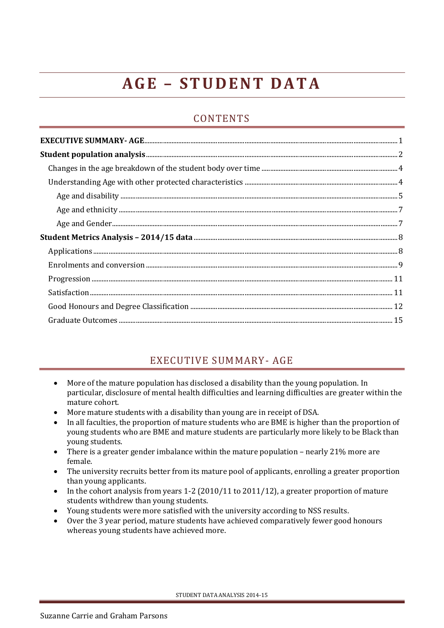# **A G E – S T U D E N T D A T A**

# **CONTENTS**

## EXECUTIVE SUMMARY- AGE

- <span id="page-0-0"></span> More of the mature population has disclosed a disability than the young population. In particular, disclosure of mental health difficulties and learning difficulties are greater within the mature cohort.
- More mature students with a disability than young are in receipt of DSA.
- In all faculties, the proportion of mature students who are BME is higher than the proportion of young students who are BME and mature students are particularly more likely to be Black than young students.
- There is a greater gender imbalance within the mature population nearly 21% more are female.
- The university recruits better from its mature pool of applicants, enrolling a greater proportion than young applicants.
- In the cohort analysis from years 1-2 (2010/11 to 2011/12), a greater proportion of mature students withdrew than young students.
- Young students were more satisfied with the university according to NSS results.
- Over the 3 year period, mature students have achieved comparatively fewer good honours whereas young students have achieved more.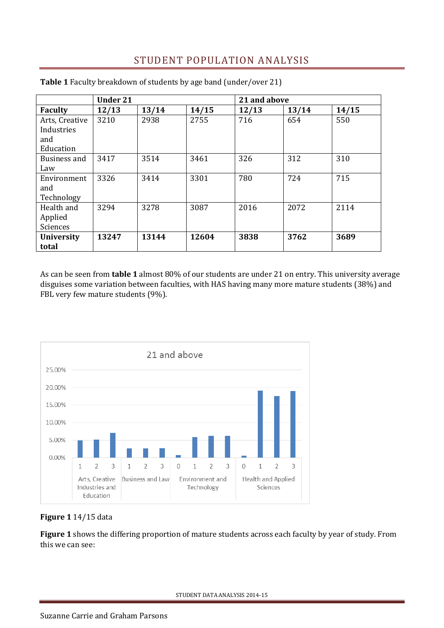# STUDENT POPULATION ANALYSIS

|                                                  | <b>Under 21</b> |       |       | 21 and above |       |       |
|--------------------------------------------------|-----------------|-------|-------|--------------|-------|-------|
| <b>Faculty</b>                                   | 12/13           | 13/14 | 14/15 | 12/13        | 13/14 | 14/15 |
| Arts, Creative<br>Industries<br>and<br>Education | 3210            | 2938  | 2755  | 716          | 654   | 550   |
| Business and<br>Law                              | 3417            | 3514  | 3461  | 326          | 312   | 310   |
| Environment<br>and<br>Technology                 | 3326            | 3414  | 3301  | 780          | 724   | 715   |
| Health and<br>Applied<br>Sciences                | 3294            | 3278  | 3087  | 2016         | 2072  | 2114  |
| <b>University</b><br>total                       | 13247           | 13144 | 12604 | 3838         | 3762  | 3689  |

<span id="page-1-0"></span>**Table 1** Faculty breakdown of students by age band (under/over 21)

As can be seen from **table 1** almost 80% of our students are under 21 on entry. This university average disguises some variation between faculties, with HAS having many more mature students (38%) and FBL very few mature students (9%).



**Figure 1** 14/15 data

**Figure 1** shows the differing proportion of mature students across each faculty by year of study. From this we can see: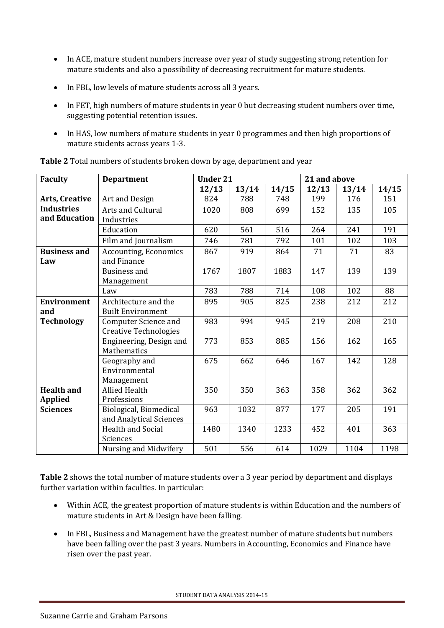- In ACE, mature student numbers increase over year of study suggesting strong retention for mature students and also a possibility of decreasing recruitment for mature students.
- In FBL, low levels of mature students across all 3 years.
- In FET, high numbers of mature students in year 0 but decreasing student numbers over time, suggesting potential retention issues.
- In HAS, low numbers of mature students in year 0 programmes and then high proportions of mature students across years 1-3.

| <b>Faculty</b>                      | <b>Department</b>                                           | <b>Under 21</b> |       |       | 21 and above |       |       |
|-------------------------------------|-------------------------------------------------------------|-----------------|-------|-------|--------------|-------|-------|
|                                     |                                                             | 12/13           | 13/14 | 14/15 | 12/13        | 13/14 | 14/15 |
| Arts, Creative                      | Art and Design                                              | 824             | 788   | 748   | 199          | 176   | 151   |
| <b>Industries</b>                   | Arts and Cultural                                           | 1020            | 808   | 699   | 152          | 135   | 105   |
| and Education                       | Industries                                                  |                 |       |       |              |       |       |
|                                     | Education                                                   | 620             | 561   | 516   | 264          | 241   | 191   |
|                                     | Film and Journalism                                         | 746             | 781   | 792   | 101          | 102   | 103   |
| <b>Business and</b><br>Law          | Accounting, Economics<br>and Finance                        | 867             | 919   | 864   | 71           | 71    | 83    |
|                                     | <b>Business and</b><br>Management                           | 1767            | 1807  | 1883  | 147          | 139   | 139   |
|                                     | Law                                                         | 783             | 788   | 714   | 108          | 102   | 88    |
| <b>Environment</b><br>and           | Architecture and the<br><b>Built Environment</b>            | 895             | 905   | 825   | 238          | 212   | 212   |
| <b>Technology</b>                   | <b>Computer Science and</b><br><b>Creative Technologies</b> | 983             | 994   | 945   | 219          | 208   | 210   |
|                                     | Engineering, Design and<br>Mathematics                      | 773             | 853   | 885   | 156          | 162   | 165   |
|                                     | Geography and<br>Environmental<br>Management                | 675             | 662   | 646   | 167          | 142   | 128   |
| <b>Health and</b><br><b>Applied</b> | <b>Allied Health</b><br>Professions                         | 350             | 350   | 363   | 358          | 362   | 362   |
| <b>Sciences</b>                     | Biological, Biomedical<br>and Analytical Sciences           | 963             | 1032  | 877   | 177          | 205   | 191   |
|                                     | Health and Social<br>Sciences                               | 1480            | 1340  | 1233  | 452          | 401   | 363   |
|                                     | Nursing and Midwifery                                       | 501             | 556   | 614   | 1029         | 1104  | 1198  |

**Table 2** Total numbers of students broken down by age, department and year

**Table 2** shows the total number of mature students over a 3 year period by department and displays further variation within faculties. In particular:

- Within ACE, the greatest proportion of mature students is within Education and the numbers of mature students in Art & Design have been falling.
- In FBL, Business and Management have the greatest number of mature students but numbers have been falling over the past 3 years. Numbers in Accounting, Economics and Finance have risen over the past year.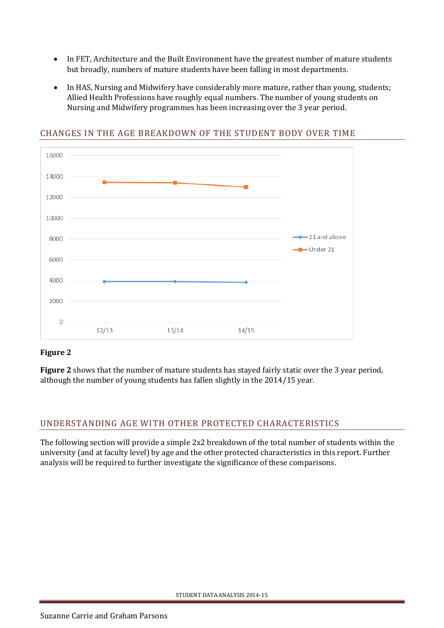- In FET, Architecture and the Built Environment have the greatest number of mature students but broadly, numbers of mature students have been falling in most departments.
- In HAS, Nursing and Midwifery have considerably more mature, rather than young, students; Allied Health Professions have roughly equal numbers. The number of young students on Nursing and Midwifery programmes has been increasing over the 3 year period.



## <span id="page-3-0"></span>CHANGES IN THE AGE BREAKDOWN OF THE STUDENT BODY OVER TIME

## **Figure 2**

**Figure 2** shows that the number of mature students has stayed fairly static over the 3 year period, although the number of young students has fallen slightly in the 2014/15 year.

## <span id="page-3-1"></span>UNDERSTANDING AGE WITH OTHER PROTECTED CHARACTERISTICS

<span id="page-3-2"></span>The following section will provide a simple 2x2 breakdown of the total number of students within the university (and at faculty level) by age and the other protected characteristics in this report. Further analysis will be required to further investigate the significance of these comparisons.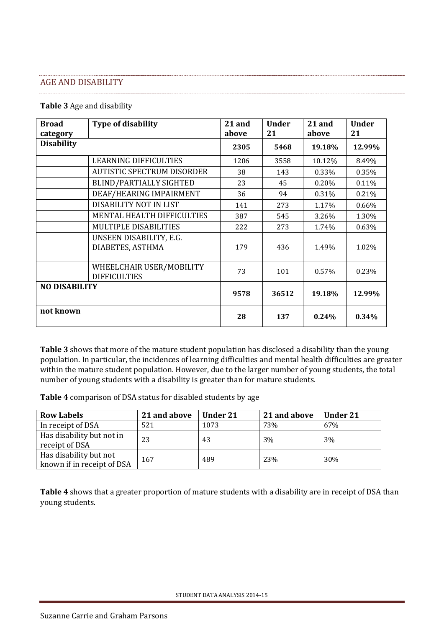#### AGE AND DISABILITY

#### **Table 3** Age and disability

| <b>Broad</b><br>category | <b>Type of disability</b>                       | 21 and<br>above | <b>Under</b><br>21 | 21 and<br>above | <b>Under</b><br>21 |
|--------------------------|-------------------------------------------------|-----------------|--------------------|-----------------|--------------------|
| <b>Disability</b>        |                                                 | 2305            | 5468               | 19.18%          | 12.99%             |
|                          | <b>LEARNING DIFFICULTIES</b>                    | 1206            | 3558               | 10.12%          | 8.49%              |
|                          | <b>AUTISTIC SPECTRUM DISORDER</b>               | 38              | 143                | 0.33%           | 0.35%              |
|                          | <b>BLIND/PARTIALLY SIGHTED</b>                  | 23              | 45                 | 0.20%           | 0.11%              |
|                          | DEAF/HEARING IMPAIRMENT                         | 36              | 94                 | 0.31%           | 0.21%              |
|                          | DISABILITY NOT IN LIST                          | 141             | 273                | 1.17%           | 0.66%              |
|                          | MENTAL HEALTH DIFFICULTIES                      | 387             | 545                | 3.26%           | 1.30%              |
|                          | MULTIPLE DISABILITIES                           | 222             | 273                | 1.74%           | 0.63%              |
|                          | UNSEEN DISABILITY, E.G.<br>DIABETES, ASTHMA     | 179             | 436                | 1.49%           | 1.02%              |
|                          | WHEELCHAIR USER/MOBILITY<br><b>DIFFICULTIES</b> | 73              | 101                | 0.57%           | 0.23%              |
| <b>NO DISABILITY</b>     |                                                 | 9578            | 36512              | 19.18%          | 12.99%             |
| not known                |                                                 | 28              | 137                | $0.24\%$        | 0.34%              |

**Table 3** shows that more of the mature student population has disclosed a disability than the young population. In particular, the incidences of learning difficulties and mental health difficulties are greater within the mature student population. However, due to the larger number of young students, the total number of young students with a disability is greater than for mature students.

**Table 4** comparison of DSA status for disabled students by age

| <b>Row Labels</b>                                    | 21 and above | <b>Under 21</b> | 21 and above | <b>Under 21</b> |
|------------------------------------------------------|--------------|-----------------|--------------|-----------------|
| In receipt of DSA                                    | 521          | 1073            | 73%          | 67%             |
| Has disability but not in<br>receipt of DSA          | 23           | 43              | 3%           | 3%              |
| Has disability but not<br>known if in receipt of DSA | 167          | 489             | 23%          | 30%             |

**Table 4** shows that a greater proportion of mature students with a disability are in receipt of DSA than young students.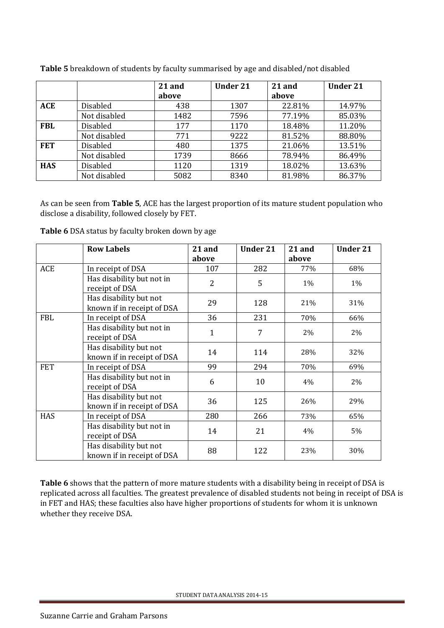|            |                 | 21 and | <b>Under 21</b> | 21 and | <b>Under 21</b> |
|------------|-----------------|--------|-----------------|--------|-----------------|
|            |                 | above  |                 | above  |                 |
| <b>ACE</b> | <b>Disabled</b> | 438    | 1307            | 22.81% | 14.97%          |
|            | Not disabled    | 1482   | 7596            | 77.19% | 85.03%          |
| <b>FBL</b> | <b>Disabled</b> | 177    | 1170            | 18.48% | 11.20%          |
|            | Not disabled    | 771    | 9222            | 81.52% | 88.80%          |
| <b>FET</b> | Disabled        | 480    | 1375            | 21.06% | 13.51%          |
|            | Not disabled    | 1739   | 8666            | 78.94% | 86.49%          |
| <b>HAS</b> | Disabled        | 1120   | 1319            | 18.02% | 13.63%          |
|            | Not disabled    | 5082   | 8340            | 81.98% | 86.37%          |

**Table 5** breakdown of students by faculty summarised by age and disabled/not disabled

As can be seen from **Table 5**, ACE has the largest proportion of its mature student population who disclose a disability, followed closely by FET.

| Table 6 DSA status by faculty broken down by age |  |  |  |
|--------------------------------------------------|--|--|--|
|--------------------------------------------------|--|--|--|

|            | <b>Row Labels</b>                                    | 21 and         | <b>Under 21</b> | 21 and | <b>Under 21</b> |
|------------|------------------------------------------------------|----------------|-----------------|--------|-----------------|
|            |                                                      | above          |                 | above  |                 |
| ACE        | In receipt of DSA                                    | 107            | 282             | 77%    | 68%             |
|            | Has disability but not in<br>receipt of DSA          | $\overline{2}$ | 5               | 1%     | 1%              |
|            | Has disability but not<br>known if in receipt of DSA | 29             | 128             | 21%    | 31%             |
| <b>FBL</b> | In receipt of DSA                                    | 36             | 231             | 70%    | 66%             |
|            | Has disability but not in<br>receipt of DSA          | 1              | 7               | 2%     | 2%              |
|            | Has disability but not<br>known if in receipt of DSA | 14             | 114             | 28%    | 32%             |
| <b>FET</b> | In receipt of DSA                                    | 99             | 294             | 70%    | 69%             |
|            | Has disability but not in<br>receipt of DSA          | 6              | 10              | 4%     | 2%              |
|            | Has disability but not<br>known if in receipt of DSA | 36             | 125             | 26%    | 29%             |
| <b>HAS</b> | In receipt of DSA                                    | 280            | 266             | 73%    | 65%             |
|            | Has disability but not in<br>receipt of DSA          | 14             | 21              | 4%     | 5%              |
|            | Has disability but not<br>known if in receipt of DSA | 88             | 122             | 23%    | 30%             |

<span id="page-5-0"></span>**Table 6** shows that the pattern of more mature students with a disability being in receipt of DSA is replicated across all faculties. The greatest prevalence of disabled students not being in receipt of DSA is in FET and HAS; these faculties also have higher proportions of students for whom it is unknown whether they receive DSA.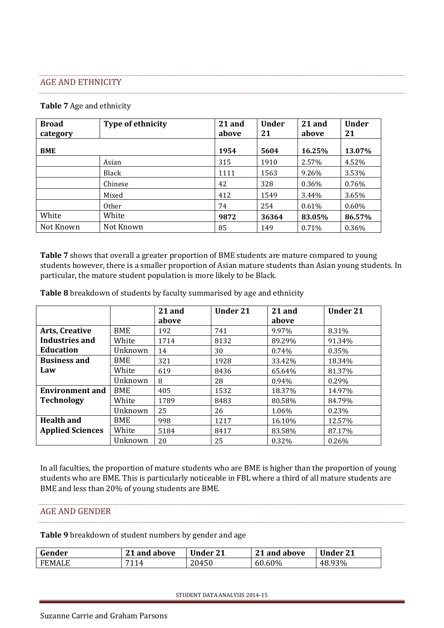#### AGE AND ETHNICITY

#### **Table 7** Age and ethnicity

| <b>Broad</b><br>category | <b>Type of ethnicity</b> | 21 and<br>above | <b>Under</b><br>21 | 21 and<br>above | <b>Under</b><br>21 |
|--------------------------|--------------------------|-----------------|--------------------|-----------------|--------------------|
| <b>BME</b>               |                          | 1954            | 5604               | 16.25%          | 13.07%             |
|                          | Asian                    | 315             | 1910               | 2.57%           | 4.52%              |
|                          | Black                    | 1111            | 1563               | 9.26%           | 3.53%              |
|                          | Chinese                  | 42              | 328                | 0.36%           | 0.76%              |
|                          | Mixed                    | 412             | 1549               | 3.44%           | 3.65%              |
|                          | <b>Other</b>             | 74              | 254                | 0.61%           | $0.60\%$           |
| White                    | White                    | 9872            | 36364              | 83.05%          | 86.57%             |
| Not Known                | Not Known                | 85              | 149                | 0.71%           | 0.36%              |

**Table 7** shows that overall a greater proportion of BME students are mature compared to young students however, there is a smaller proportion of Asian mature students than Asian young students. In particular, the mature student population is more likely to be Black.

|                         |            | 21 and | <b>Under 21</b> | 21 and | <b>Under 21</b> |
|-------------------------|------------|--------|-----------------|--------|-----------------|
|                         |            | above  |                 | above  |                 |
| <b>Arts, Creative</b>   | BME        | 192    | 741             | 9.97%  | 8.31%           |
| Industries and          | White      | 1714   | 8132            | 89.29% | 91.34%          |
| <b>Education</b>        | Unknown    | 14     | 30              | 0.74%  | 0.35%           |
| <b>Business and</b>     | BME        | 321    | 1928            | 33.42% | 18.34%          |
| Law                     | White      | 619    | 8436            | 65.64% | 81.37%          |
|                         | Unknown    | 8      | 28              | 0.94%  | 0.29%           |
| <b>Environment and</b>  | <b>BME</b> | 405    | 1532            | 18.37% | 14.97%          |
| <b>Technology</b>       | White      | 1789   | 8483            | 80.58% | 84.79%          |
|                         | Unknown    | 25     | 26              | 1.06%  | 0.23%           |
| <b>Health and</b>       | <b>BME</b> | 998    | 1217            | 16.10% | 12.57%          |
| <b>Applied Sciences</b> | White      | 5184   | 8417            | 83.58% | 87.17%          |
|                         | Unknown    | 20     | 25              | 0.32%  | 0.26%           |

**Table 8** breakdown of students by faculty summarised by age and ethnicity

In all faculties, the proportion of mature students who are BME is higher than the proportion of young students who are BME. This is particularly noticeable in FBL where a third of all mature students are BME and less than 20% of young students are BME.

#### <span id="page-6-0"></span>AGE AND GENDER

**Table 9** breakdown of student numbers by gender and age

| Gender | 21 and above | <b>Under 21</b> | 21 and above | <b>Under 21</b> |
|--------|--------------|-----------------|--------------|-----------------|
| FEMALE | 7114         | 20450           | 60.60%       | 48.93%          |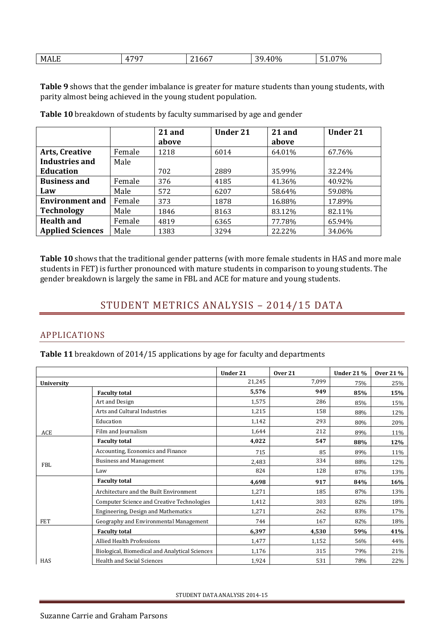| <b>MALE</b><br>707<br>$0\%$<br>$\blacksquare$<br>20<br>70 <sub>0</sub><br>.bb/<br>71.<br>۰.ա<br>-<br>- 75<br>. .<br>. . |
|-------------------------------------------------------------------------------------------------------------------------|
|-------------------------------------------------------------------------------------------------------------------------|

**Table 9** shows that the gender imbalance is greater for mature students than young students, with parity almost being achieved in the young student population.

|                         |        | 21 and<br>above | <b>Under 21</b> | 21 and<br>above | <b>Under 21</b> |
|-------------------------|--------|-----------------|-----------------|-----------------|-----------------|
| <b>Arts, Creative</b>   | Female | 1218            | 6014            | 64.01%          | 67.76%          |
| <b>Industries and</b>   | Male   |                 |                 |                 |                 |
| <b>Education</b>        |        | 702             | 2889            | 35.99%          | 32.24%          |
| <b>Business and</b>     | Female | 376             | 4185            | 41.36%          | 40.92%          |
| Law                     | Male   | 572             | 6207            | 58.64%          | 59.08%          |
| <b>Environment and</b>  | Female | 373             | 1878            | 16.88%          | 17.89%          |
| <b>Technology</b>       | Male   | 1846            | 8163            | 83.12%          | 82.11%          |
| <b>Health and</b>       | Female | 4819            | 6365            | 77.78%          | 65.94%          |
| <b>Applied Sciences</b> | Male   | 1383            | 3294            | 22.22%          | 34.06%          |

**Table 10** breakdown of students by faculty summarised by age and gender

<span id="page-7-0"></span>**Table 10** shows that the traditional gender patterns (with more female students in HAS and more male students in FET) is further pronounced with mature students in comparison to young students. The gender breakdown is largely the same in FBL and ACE for mature and young students.

## STUDENT METRICS ANALYSIS – 2014/15 DATA

## <span id="page-7-1"></span>APPLICATIONS

**Table 11** breakdown of 2014/15 applications by age for faculty and departments

|            |                                                | Under 21 | Over 21 | <b>Under 21 %</b> | <b>Over 21%</b> |
|------------|------------------------------------------------|----------|---------|-------------------|-----------------|
| University |                                                | 21,245   | 7,099   | 75%               | 25%             |
|            | <b>Faculty total</b>                           | 5,576    | 949     | 85%               | 15%             |
|            | Art and Design                                 | 1,575    | 286     | 85%               | 15%             |
|            | Arts and Cultural Industries                   | 1,215    | 158     | 88%               | 12%             |
|            | Education                                      | 1,142    | 293     | 80%               | 20%             |
| <b>ACE</b> | Film and Journalism                            | 1,644    | 212     | 89%               | 11%             |
|            | <b>Faculty total</b>                           | 4,022    | 547     | 88%               | 12%             |
|            | Accounting, Economics and Finance              | 715      | 85      | 89%               | 11%             |
| <b>FBL</b> | <b>Business and Management</b>                 | 2,483    | 334     | 88%               | 12%             |
|            | Law                                            | 824      | 128     | 87%               | 13%             |
|            | <b>Faculty total</b>                           | 4,698    | 917     | 84%               | 16%             |
|            | Architecture and the Built Environment         | 1,271    | 185     | 87%               | 13%             |
|            | Computer Science and Creative Technologies     | 1,412    | 303     | 82%               | 18%             |
|            | Engineering, Design and Mathematics            | 1,271    | 262     | 83%               | 17%             |
| <b>FET</b> | Geography and Environmental Management         | 744      | 167     | 82%               | 18%             |
|            | <b>Faculty total</b>                           | 6,397    | 4,530   | 59%               | 41%             |
|            | <b>Allied Health Professions</b>               | 1,477    | 1,152   | 56%               | 44%             |
|            | Biological, Biomedical and Analytical Sciences | 1,176    | 315     | 79%               | 21%             |
| HAS        | <b>Health and Social Sciences</b>              | 1,924    | 531     | 78%               | 22%             |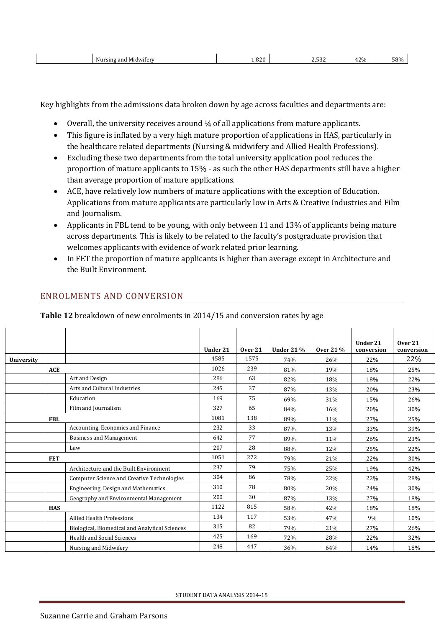| Midwifery<br>Nursing and | 820<br>$\sim 0.01$ | $\sim$ $\sim$ | 120L<br>$\mathbf{u}$<br>$\overline{\phantom{0}}$ | 58% |
|--------------------------|--------------------|---------------|--------------------------------------------------|-----|
|--------------------------|--------------------|---------------|--------------------------------------------------|-----|

Key highlights from the admissions data broken down by age across faculties and departments are:

- $\bullet$  Overall, the university receives around  $\frac{1}{4}$  of all applications from mature applicants.
- This figure is inflated by a very high mature proportion of applications in HAS, particularly in the healthcare related departments (Nursing & midwifery and Allied Health Professions).
- Excluding these two departments from the total university application pool reduces the proportion of mature applicants to 15% - as such the other HAS departments still have a higher than average proportion of mature applications.
- ACE, have relatively low numbers of mature applications with the exception of Education. Applications from mature applicants are particularly low in Arts & Creative Industries and Film and Journalism.
- Applicants in FBL tend to be young, with only between 11 and 13% of applicants being mature across departments. This is likely to be related to the faculty's postgraduate provision that welcomes applicants with evidence of work related prior learning.
- In FET the proportion of mature applicants is higher than average except in Architecture and the Built Environment.

|            |            |                                                | Under 21 | Over 21 | <b>Under 21 %</b> | <b>Over 21%</b> | Under 21<br>conversion | $0$ ver $21$<br>conversion |
|------------|------------|------------------------------------------------|----------|---------|-------------------|-----------------|------------------------|----------------------------|
| University |            |                                                | 4585     | 1575    | 74%               | 26%             | 22%                    | 22%                        |
|            | <b>ACE</b> |                                                | 1026     | 239     | 81%               | 19%             | 18%                    | 25%                        |
|            |            | Art and Design                                 | 286      | 63      | 82%               | 18%             | 18%                    | 22%                        |
|            |            | Arts and Cultural Industries                   | 245      | 37      | 87%               | 13%             | 20%                    | 23%                        |
|            |            | Education                                      | 169      | 75      | 69%               | 31%             | 15%                    | 26%                        |
|            |            | Film and Journalism                            | 327      | 65      | 84%               | 16%             | 20%                    | 30%                        |
|            | <b>FBL</b> |                                                | 1081     | 138     | 89%               | 11%             | 27%                    | 25%                        |
|            |            | Accounting, Economics and Finance              | 232      | 33      | 87%               | 13%             | 33%                    | 39%                        |
|            |            | <b>Business and Management</b>                 | 642      | 77      | 89%               | 11%             | 26%                    | 23%                        |
|            |            | Law                                            | 207      | 28      | 88%               | 12%             | 25%                    | 22%                        |
|            | <b>FET</b> |                                                | 1051     | 272     | 79%               | 21%             | 22%                    | 30%                        |
|            |            | Architecture and the Built Environment         | 237      | 79      | 75%               | 25%             | 19%                    | 42%                        |
|            |            | Computer Science and Creative Technologies     | 304      | 86      | 78%               | 22%             | 22%                    | 28%                        |
|            |            | Engineering, Design and Mathematics            | 310      | 78      | 80%               | 20%             | 24%                    | 30%                        |
|            |            | Geography and Environmental Management         | 200      | 30      | 87%               | 13%             | 27%                    | 18%                        |
|            | <b>HAS</b> |                                                | 1122     | 815     | 58%               | 42%             | 18%                    | 18%                        |
|            |            | Allied Health Professions                      | 134      | 117     | 53%               | 47%             | 9%                     | 10%                        |
|            |            | Biological, Biomedical and Analytical Sciences | 315      | 82      | 79%               | 21%             | 27%                    | 26%                        |
|            |            | <b>Health and Social Sciences</b>              | 425      | 169     | 72%               | 28%             | 22%                    | 32%                        |
|            |            | Nursing and Midwifery                          | 248      | 447     | 36%               | 64%             | 14%                    | 18%                        |

## <span id="page-8-0"></span>ENROLMENTS AND CONVERSION

**Table 12** breakdown of new enrolments in 2014/15 and conversion rates by age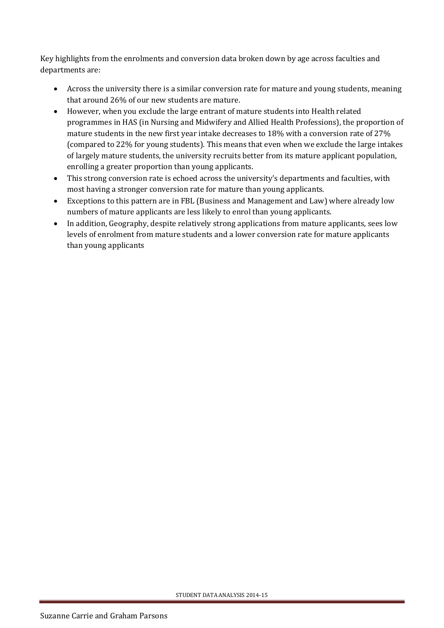Key highlights from the enrolments and conversion data broken down by age across faculties and departments are:

- Across the university there is a similar conversion rate for mature and young students, meaning that around 26% of our new students are mature.
- However, when you exclude the large entrant of mature students into Health related programmes in HAS (in Nursing and Midwifery and Allied Health Professions), the proportion of mature students in the new first year intake decreases to 18% with a conversion rate of 27% (compared to 22% for young students). This means that even when we exclude the large intakes of largely mature students, the university recruits better from its mature applicant population, enrolling a greater proportion than young applicants.
- This strong conversion rate is echoed across the university's departments and faculties, with most having a stronger conversion rate for mature than young applicants.
- Exceptions to this pattern are in FBL (Business and Management and Law) where already low numbers of mature applicants are less likely to enrol than young applicants.
- In addition, Geography, despite relatively strong applications from mature applicants, sees low levels of enrolment from mature students and a lower conversion rate for mature applicants than young applicants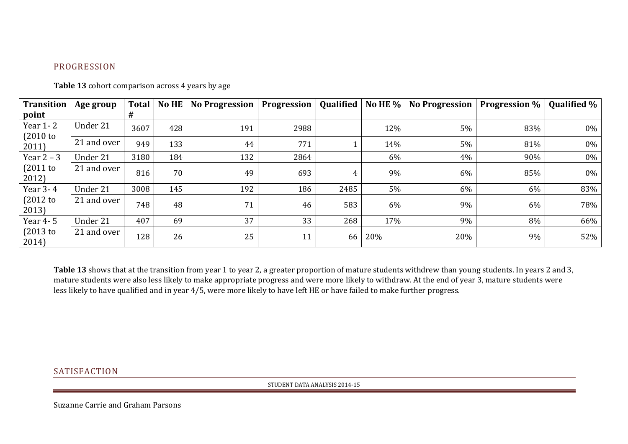## PROGRESSION

| <b>Transition</b>       | Age group   | <b>Total</b> | No HE | No Progression | Progression |      |     | Qualified   No HE %   No Progression   Progression % |     | <b>Qualified %</b> |
|-------------------------|-------------|--------------|-------|----------------|-------------|------|-----|------------------------------------------------------|-----|--------------------|
| point                   |             | #            |       |                |             |      |     |                                                      |     |                    |
| Year 1-2<br>$(2010)$ to | Under 21    | 3607         | 428   | 191            | 2988        |      | 12% | 5%                                                   | 83% | 0%                 |
| 2011)                   | 21 and over | 949          | 133   | 44             | 771         |      | 14% | 5%                                                   | 81% | 0%                 |
| Year $2 - 3$            | Under 21    | 3180         | 184   | 132            | 2864        |      | 6%  | 4%                                                   | 90% | 0%                 |
| $(2011$ to<br>2012)     | 21 and over | 816          | 70    | 49             | 693         |      | 9%  | 6%                                                   | 85% | 0%                 |
| Year 3-4                | Under 21    | 3008         | 145   | 192            | 186         | 2485 | 5%  | $6\%$                                                | 6%  | 83%                |
| $(2012$ to<br>2013)     | 21 and over | 748          | 48    | 71             | 46          | 583  | 6%  | 9%                                                   | 6%  | 78%                |
| Year 4-5                | Under 21    | 407          | 69    | 37             | 33          | 268  | 17% | 9%                                                   | 8%  | 66%                |
| $(2013)$ to<br>2014)    | 21 and over | 128          | 26    | 25             | 11          | 66   | 20% | 20%                                                  | 9%  | 52%                |

Table 13 cohort comparison across 4 years by age

<span id="page-10-0"></span>**Table 13** shows that at the transition from year 1 to year 2, a greater proportion of mature students withdrew than young students. In years 2 and 3, mature students were also less likely to make appropriate progress and were more likely to withdraw. At the end of year 3, mature students were less likely to have qualified and in year 4/5, were more likely to have left HE or have failed to make further progress.

#### <span id="page-10-1"></span>**SATISFACTION**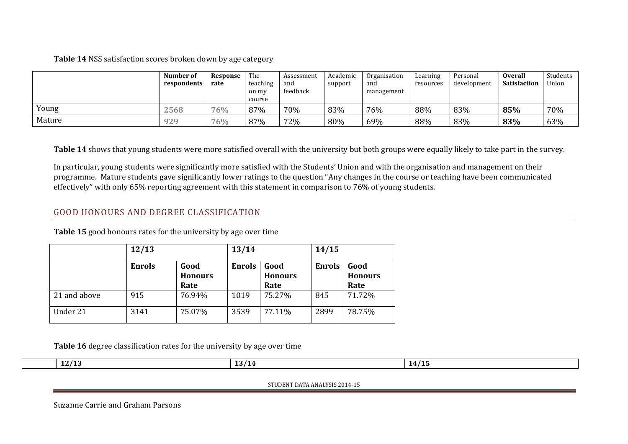**Table 14** NSS satisfaction scores broken down by age category

|        | Number of<br>respondents | Response<br>rate | The<br>teaching<br>on my<br>course | Assessment<br>and<br>feedback | Academic<br>support | Organisation<br>and<br>management | Learning<br>resources | Personal<br>development | <b>Overall</b><br><b>Satisfaction</b> | Students<br>Union |
|--------|--------------------------|------------------|------------------------------------|-------------------------------|---------------------|-----------------------------------|-----------------------|-------------------------|---------------------------------------|-------------------|
| Young  | 2568                     | 76%              | 87%                                | 70%                           | 83%                 | 76%                               | 88%                   | 83%                     | 85%                                   | 70%               |
| Mature | 929                      | 76%              | 87%                                | 72%                           | 80%                 | 69%                               | 88%                   | 83%                     | 83%                                   | 63%               |

**Table 14** shows that young students were more satisfied overall with the university but both groups were equally likely to take part in the survey.

In particular, young students were significantly more satisfied with the Students' Union and with the organisation and management on their programme. Mature students gave significantly lower ratings to the question "Any changes in the course or teaching have been communicated effectively" with only 65% reporting agreement with this statement in comparison to 76% of young students.

## GOOD HONOURS AND DEGREE CLASSIFICATION

|              | 12/13         |                                | 13/14         |                                | 14/15         |                                |  |
|--------------|---------------|--------------------------------|---------------|--------------------------------|---------------|--------------------------------|--|
|              | <b>Enrols</b> | Good<br><b>Honours</b><br>Rate | <b>Enrols</b> | Good<br><b>Honours</b><br>Rate | <b>Enrols</b> | Good<br><b>Honours</b><br>Rate |  |
| 21 and above | 915           | 76.94%                         | 1019          | 75.27%                         | 845           | 71.72%                         |  |
| Under 21     | 3141          | 75.07%                         | 3539          | 77.11%                         | 2899          | 78.75%                         |  |

**Table 15** good honours rates for the university by age over time

**Table 16** degree classification rates for the university by age over time

<span id="page-11-0"></span>

| 12/13 | 13/14 | 14/15 |
|-------|-------|-------|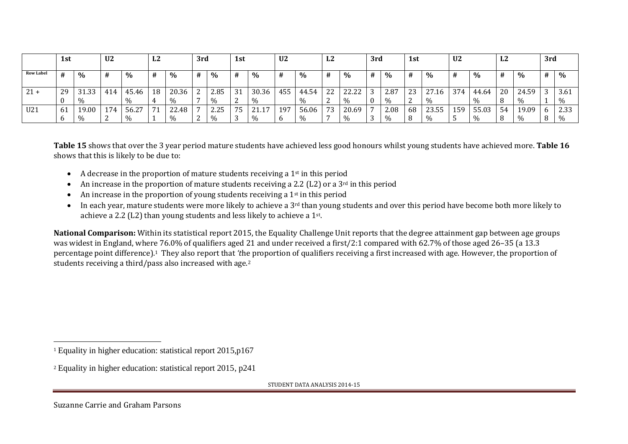|                  | 1st |               | U <sub>2</sub> |                    | L2      |                        | 3rd |              | 1st            |                        | U <sub>2</sub> |               | L2            |                        | 3rd |              | 1st          |                       | U <sub>2</sub> |               | L <sub>2</sub> |               | 3rd |              |
|------------------|-----|---------------|----------------|--------------------|---------|------------------------|-----|--------------|----------------|------------------------|----------------|---------------|---------------|------------------------|-----|--------------|--------------|-----------------------|----------------|---------------|----------------|---------------|-----|--------------|
| <b>Row Label</b> |     | $\%$          |                | $\%$               | #       | $\%$                   | #   | $\%$         | #              | $\%$                   | #              | $\%$          | #             | $\%$                   |     | $\%$         | #            | $\%$                  | #              | $\%$          | #              | $\%$          | #   | $\%$         |
| $21 +$           | 29  | 31.33<br>%    | 414            | 45.46<br>$\%$      | 18<br>4 | 20.36<br>$\frac{0}{0}$ |     | 2.85<br>$\%$ | 31<br><u>_</u> | 30.36<br>$\frac{0}{0}$ | 455            | 44.54<br>$\%$ | つつ<br>▵▵<br>▵ | 22.22<br>22.22<br>$\%$ |     | 2.87<br>$\%$ | 23<br>ຳ<br>▵ | $\sim$<br>.16<br>$\%$ | 374            | 44.64<br>$\%$ | 20<br>8        | 24.59<br>$\%$ |     | 3.61<br>$\%$ |
| U21              | 61  | 19.00<br>$\%$ | 174            | ຳອ<br>56.2<br>$\%$ | 71      | 22.48<br>$\%$          |     | 2.25<br>$\%$ | 75             | 17<br>$\frac{0}{0}$    | 197            | 56.06<br>$\%$ | 73            | 20.69<br>$\%$          |     | 2.08<br>$\%$ | 68<br>8      | 23.55<br>$\%$         | 159            | 55.03<br>$\%$ | 54<br>8        | 19.09         |     | 2.33<br>$\%$ |

**Table 15** shows that over the 3 year period mature students have achieved less good honours whilst young students have achieved more. **Table 16** shows that this is likely to be due to:

- $\bullet$  A decrease in the proportion of mature students receiving a 1<sup>st</sup> in this period
- An increase in the proportion of mature students receiving a 2.2 (L2) or a  $3<sup>rd</sup>$  in this period
- An increase in the proportion of young students receiving a  $1<sup>st</sup>$  in this period
- In each year, mature students were more likely to achieve a 3<sup>rd</sup> than young students and over this period have become both more likely to achieve a 2.2 (L2) than young students and less likely to achieve a 1st.

**National Comparison:** Within its statistical report 2015, the Equality Challenge Unit reports that the degree attainment gap between age groups was widest in England, where 76.0% of qualifiers aged 21 and under received a first/2:1 compared with 62.7% of those aged 26–35 (a 13.3 percentage point difference).<sup>1</sup> They also report that *'t*he proportion of qualifiers receiving a first increased with age. However, the proportion of students receiving a third/pass also increased with age.<sup>2</sup>

STUDENT DATA ANALYSIS 2014-15

 $\overline{a}$ 

<sup>1</sup> Equality in higher education: statistical report 2015,p167

<sup>2</sup> Equality in higher education: statistical report 2015, p241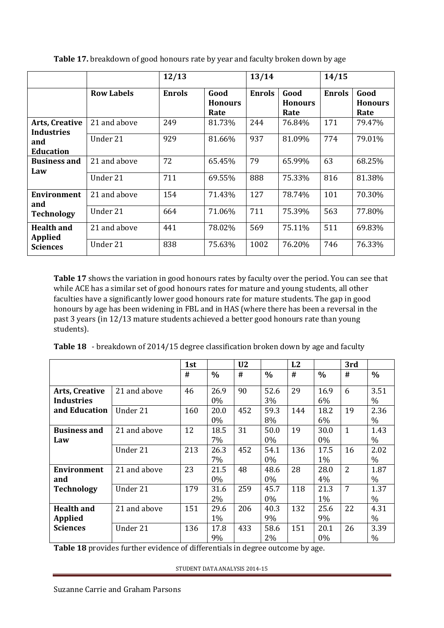|                                     |                   | 12/13         |                                | 13/14         |                                | 14/15         |                                |
|-------------------------------------|-------------------|---------------|--------------------------------|---------------|--------------------------------|---------------|--------------------------------|
|                                     | <b>Row Labels</b> | <b>Enrols</b> | Good<br><b>Honours</b><br>Rate | <b>Enrols</b> | Good<br><b>Honours</b><br>Rate | <b>Enrols</b> | Good<br><b>Honours</b><br>Rate |
| Arts, Creative<br><b>Industries</b> | 21 and above      | 249           | 81.73%                         | 244           | 76.84%                         | 171           | 79.47%                         |
| and<br><b>Education</b>             | Under 21          | 929           | 81.66%                         | 937           | 81.09%                         | 774           | 79.01%                         |
| <b>Business and</b><br>Law          | 21 and above      | 72            | 65.45%                         | 79            | 65.99%                         | 63            | 68.25%                         |
|                                     | Under 21          | 711           | 69.55%                         | 888           | 75.33%                         | 816           | 81.38%                         |
| Environment<br>and                  | 21 and above      | 154           | 71.43%                         | 127           | 78.74%                         | 101           | 70.30%                         |
| <b>Technology</b>                   | Under 21          | 664           | 71.06%                         | 711           | 75.39%                         | 563           | 77.80%                         |
| <b>Health and</b><br><b>Applied</b> | 21 and above      | 441           | 78.02%                         | 569           | 75.11%                         | 511           | 69.83%                         |
| <b>Sciences</b>                     | Under 21          | 838           | 75.63%                         | 1002          | 76.20%                         | 746           | 76.33%                         |

**Table 17.** breakdown of good honours rate by year and faculty broken down by age

**Table 17** shows the variation in good honours rates by faculty over the period. You can see that while ACE has a similar set of good honours rates for mature and young students, all other faculties have a significantly lower good honours rate for mature students. The gap in good honours by age has been widening in FBL and in HAS (where there has been a reversal in the past 3 years (in 12/13 mature students achieved a better good honours rate than young students).

|  |  |  |  |  | Table 18 - breakdown of 2014/15 degree classification broken down by age and faculty |  |
|--|--|--|--|--|--------------------------------------------------------------------------------------|--|
|--|--|--|--|--|--------------------------------------------------------------------------------------|--|

|                       |              | 1st |               | U <sub>2</sub> |               | L2  |               | 3rd            |      |
|-----------------------|--------------|-----|---------------|----------------|---------------|-----|---------------|----------------|------|
|                       |              | #   | $\frac{0}{0}$ | #              | $\frac{0}{0}$ | #   | $\frac{0}{0}$ | #              | $\%$ |
| <b>Arts, Creative</b> | 21 and above | 46  | 26.9          | 90             | 52.6          | 29  | 16.9          | 6              | 3.51 |
| <b>Industries</b>     |              |     | 0%            |                | 3%            |     | 6%            |                | $\%$ |
| and Education         | Under 21     | 160 | 20.0          | 452            | 59.3          | 144 | 18.2          | 19             | 2.36 |
|                       |              |     | 0%            |                | 8%            |     | 6%            |                | $\%$ |
| <b>Business and</b>   | 21 and above | 12  | 18.5          | 31             | 50.0          | 19  | 30.0          | $\mathbf{1}$   | 1.43 |
| Law                   |              |     | 7%            |                | $0\%$         |     | 0%            |                | $\%$ |
|                       | Under 21     | 213 | 26.3          | 452            | 54.1          | 136 | 17.5          | 16             | 2.02 |
|                       |              |     | 7%            |                | $0\%$         |     | 1%            |                | $\%$ |
| Environment           | 21 and above | 23  | 21.5          | 48             | 48.6          | 28  | 28.0          | $\overline{2}$ | 1.87 |
| and                   |              |     | 0%            |                | $0\%$         |     | 4%            |                | $\%$ |
| <b>Technology</b>     | Under 21     | 179 | 31.6          | 259            | 45.7          | 118 | 21.3          | 7              | 1.37 |
|                       |              |     | 2%            |                | $0\%$         |     | 1%            |                | $\%$ |
| <b>Health and</b>     | 21 and above | 151 | 29.6          | 206            | 40.3          | 132 | 25.6          | 22             | 4.31 |
| <b>Applied</b>        |              |     | 1%            |                | 9%            |     | 9%            |                | $\%$ |
| <b>Sciences</b>       | Under 21     | 136 | 17.8          | 433            | 58.6          | 151 | 20.1          | 26             | 3.39 |
|                       |              |     | 9%            |                | 2%            |     | 0%            |                | %    |

**Table 18** provides further evidence of differentials in degree outcome by age.